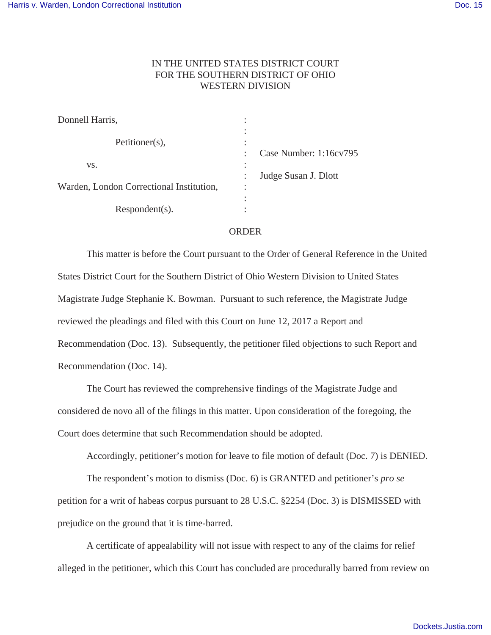## IN THE UNITED STATES DISTRICT COURT FOR THE SOUTHERN DISTRICT OF OHIO WESTERN DIVISION

| Donnell Harris,                          |                                   |                        |
|------------------------------------------|-----------------------------------|------------------------|
| Petitioner(s),                           | ٠<br>٠                            |                        |
| VS.                                      | $\ddot{\phantom{a}}$              | Case Number: 1:16cv795 |
|                                          | $\bullet$<br>$\ddot{\phantom{a}}$ | Judge Susan J. Dlott   |
| Warden, London Correctional Institution, | ٠<br>$\bullet$                    |                        |
|                                          |                                   |                        |
| $Respondent(s)$ .                        |                                   |                        |

## ORDER

This matter is before the Court pursuant to the Order of General Reference in the United States District Court for the Southern District of Ohio Western Division to United States Magistrate Judge Stephanie K. Bowman. Pursuant to such reference, the Magistrate Judge reviewed the pleadings and filed with this Court on June 12, 2017 a Report and Recommendation (Doc. 13). Subsequently, the petitioner filed objections to such Report and Recommendation (Doc. 14).

The Court has reviewed the comprehensive findings of the Magistrate Judge and considered de novo all of the filings in this matter. Upon consideration of the foregoing, the Court does determine that such Recommendation should be adopted.

Accordingly, petitioner's motion for leave to file motion of default (Doc. 7) is DENIED.

The respondent's motion to dismiss (Doc. 6) is GRANTED and petitioner's *pro se* petition for a writ of habeas corpus pursuant to 28 U.S.C. §2254 (Doc. 3) is DISMISSED with prejudice on the ground that it is time-barred.

A certificate of appealability will not issue with respect to any of the claims for relief alleged in the petitioner, which this Court has concluded are procedurally barred from review on